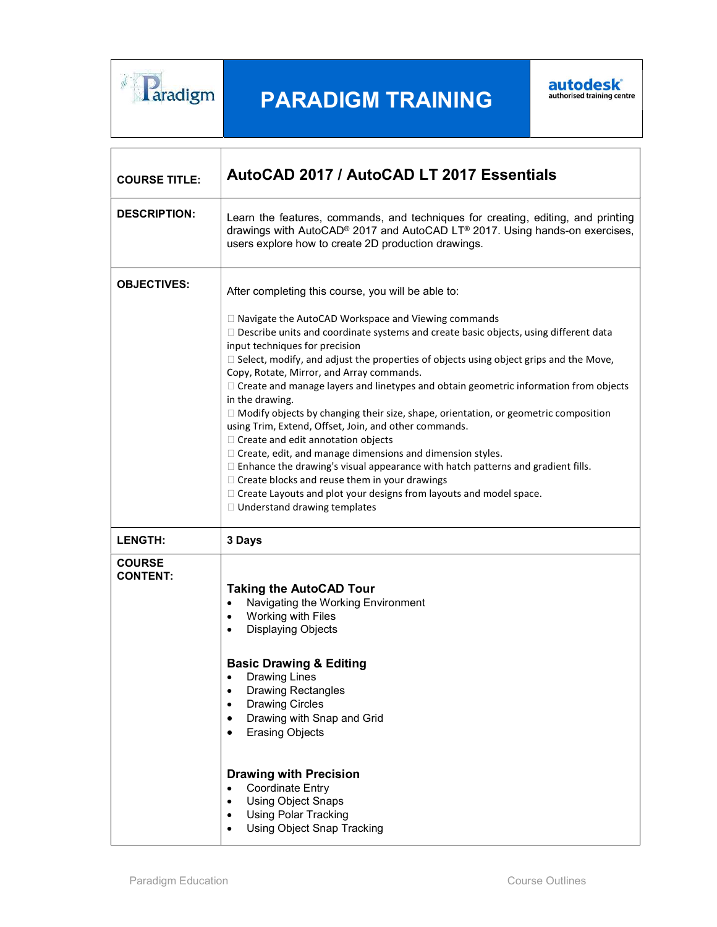

# PARADIGM TRAINING



| <b>COURSE TITLE:</b>             | AutoCAD 2017 / AutoCAD LT 2017 Essentials                                                                                                                                                                                                                                                                                                                                                                                                                                                                                                                                                                                                                                                                                                                                                                                                                                                                                                                                                                                                          |
|----------------------------------|----------------------------------------------------------------------------------------------------------------------------------------------------------------------------------------------------------------------------------------------------------------------------------------------------------------------------------------------------------------------------------------------------------------------------------------------------------------------------------------------------------------------------------------------------------------------------------------------------------------------------------------------------------------------------------------------------------------------------------------------------------------------------------------------------------------------------------------------------------------------------------------------------------------------------------------------------------------------------------------------------------------------------------------------------|
| <b>DESCRIPTION:</b>              | Learn the features, commands, and techniques for creating, editing, and printing<br>drawings with AutoCAD® 2017 and AutoCAD LT® 2017. Using hands-on exercises,<br>users explore how to create 2D production drawings.                                                                                                                                                                                                                                                                                                                                                                                                                                                                                                                                                                                                                                                                                                                                                                                                                             |
| <b>OBJECTIVES:</b>               | After completing this course, you will be able to:<br>$\Box$ Navigate the AutoCAD Workspace and Viewing commands<br>$\square$ Describe units and coordinate systems and create basic objects, using different data<br>input techniques for precision<br>$\Box$ Select, modify, and adjust the properties of objects using object grips and the Move,<br>Copy, Rotate, Mirror, and Array commands.<br>$\Box$ Create and manage layers and linetypes and obtain geometric information from objects<br>in the drawing.<br>□ Modify objects by changing their size, shape, orientation, or geometric composition<br>using Trim, Extend, Offset, Join, and other commands.<br>□ Create and edit annotation objects<br>$\Box$ Create, edit, and manage dimensions and dimension styles.<br>$\Box$ Enhance the drawing's visual appearance with hatch patterns and gradient fills.<br>$\Box$ Create blocks and reuse them in your drawings<br>$\Box$ Create Layouts and plot your designs from layouts and model space.<br>□ Understand drawing templates |
| <b>LENGTH:</b>                   | 3 Days                                                                                                                                                                                                                                                                                                                                                                                                                                                                                                                                                                                                                                                                                                                                                                                                                                                                                                                                                                                                                                             |
| <b>COURSE</b><br><b>CONTENT:</b> | <b>Taking the AutoCAD Tour</b><br>Navigating the Working Environment<br>Working with Files<br><b>Displaying Objects</b><br><b>Basic Drawing &amp; Editing</b><br><b>Drawing Lines</b><br><b>Drawing Rectangles</b><br>$\bullet$<br><b>Drawing Circles</b><br>٠<br>Drawing with Snap and Grid<br><b>Erasing Objects</b><br><b>Drawing with Precision</b><br><b>Coordinate Entry</b><br>$\bullet$<br><b>Using Object Snaps</b><br>$\bullet$<br><b>Using Polar Tracking</b><br><b>Using Object Snap Tracking</b>                                                                                                                                                                                                                                                                                                                                                                                                                                                                                                                                      |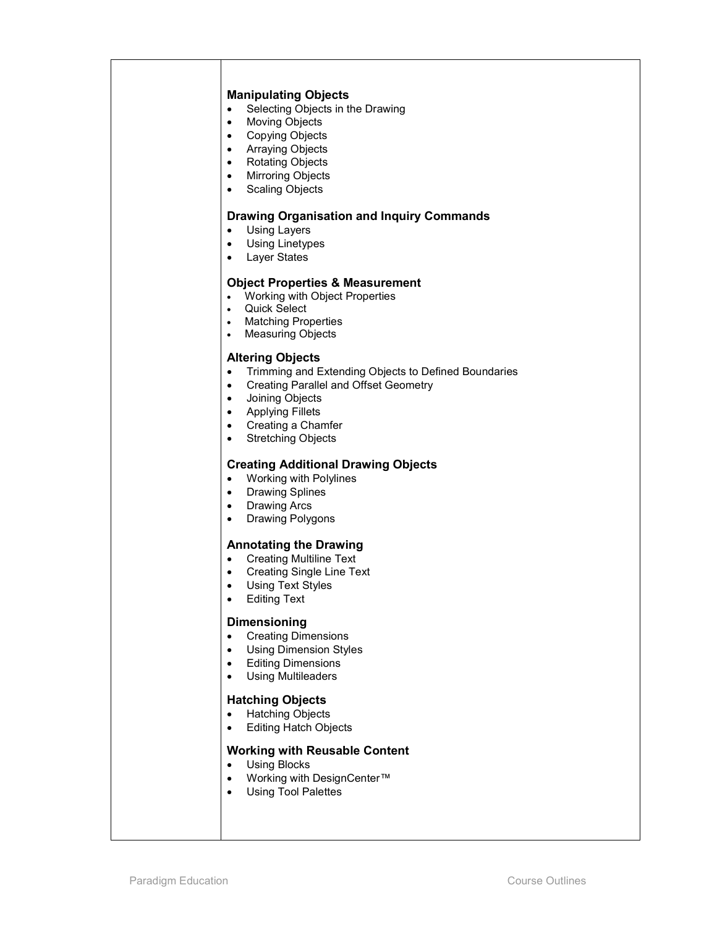#### Manipulating Objects

- Selecting Objects in the Drawing
- Moving Objects
- **•** Copying Objects
- Arraying Objects
- Rotating Objects
- Mirroring Objects
- Scaling Objects

# Drawing Organisation and Inquiry Commands

- Using Layers
- Using Linetypes
- Layer States

#### Object Properties & Measurement

- Working with Object Properties
- Quick Select
- Matching Properties
- Measuring Objects

### Altering Objects

- Trimming and Extending Objects to Defined Boundaries
- Creating Parallel and Offset Geometry
- Joining Objects
- Applying Fillets
- Creating a Chamfer
- Stretching Objects

## Creating Additional Drawing Objects

- Working with Polylines
- Drawing Splines
- Drawing Arcs
- Drawing Polygons

# Annotating the Drawing

- Creating Multiline Text
- Creating Single Line Text
- Using Text Styles
- Editing Text

#### Dimensioning

- Creating Dimensions
- Using Dimension Styles
- **•** Editing Dimensions
- Using Multileaders

# Hatching Objects

- Hatching Objects
- Editing Hatch Objects

## Working with Reusable Content

- Using Blocks
- Working with DesignCenter™
- Using Tool Palettes